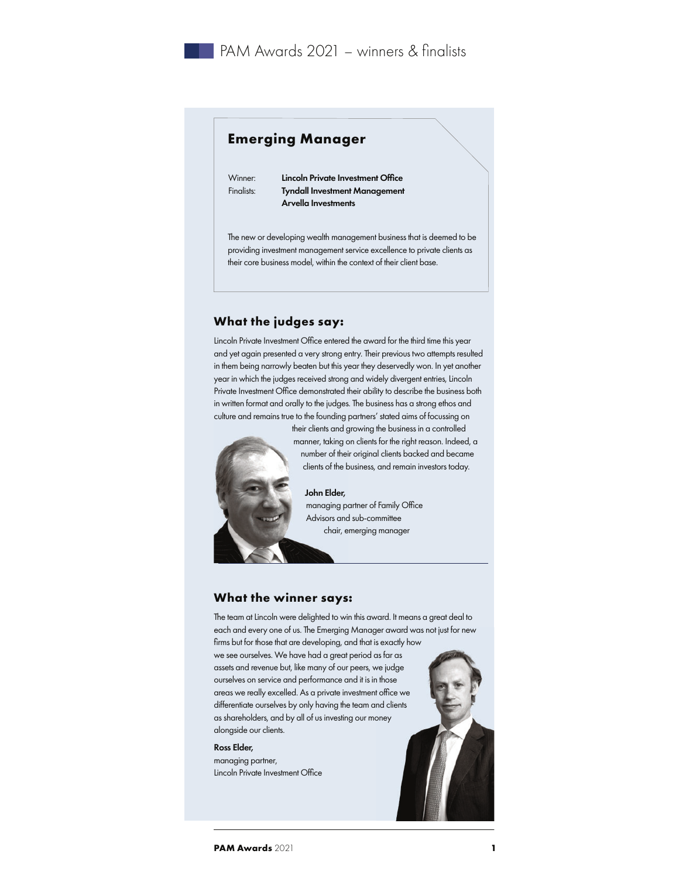# **Emerging Manager**

Winner: **Lincoln Private Investment Office** Finalists: Tyndall Investment Management Arvella Investments

The new or developing wealth management business that is deemed to be providing investment management service excellence to private clients as their core business model, within the context of their client base.

## **What the judges say:**

Lincoln Private Investment Office entered the award for the third time this year and yet again presented a very strong entry. Their previous two attempts resulted in them being narrowly beaten but this year they deservedly won. In yet another year in which the judges received strong and widely divergent entries, Lincoln Private Investment Office demonstrated their ability to describe the business both in written format and orally to the judges. The business has a strong ethos and culture and remains true to the founding partners' stated aims of focussing on



their clients and growing the business in a controlled manner, taking on clients for the right reason. Indeed, a number of their original clients backed and became clients of the business, and remain investors today.

#### John Elder,

managing partner of Family Office Advisors and sub-committee chair, emerging manager

## **What the winner says:**

The team at Lincoln were delighted to win this award. It means a great deal to each and every one of us. The Emerging Manager award was not just for new firms but for those that are developing, and that is exactly how we see ourselves. We have had a great period as far as assets and revenue but, like many of our peers, we judge ourselves on service and performance and it is in those areas we really excelled. As a private investment office we differentiate ourselves by only having the team and clients as shareholders, and by all of us investing our money alongside our clients.

### Ross Elder,

managing partner, Lincoln Private Investment Office